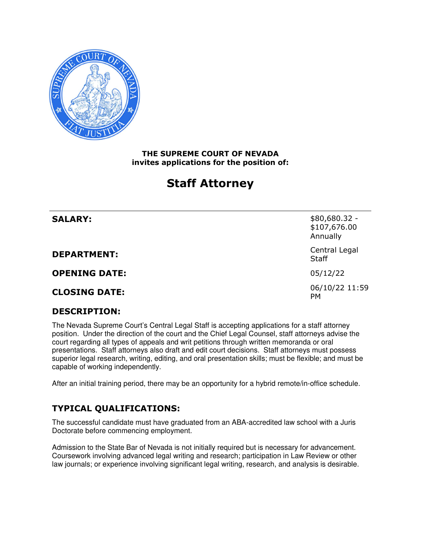

#### **THE SUPREME COURT OF NEVADA invites applications for the position of:**

# **Staff Attorney**

| <b>SALARY:</b>       | \$80,680.32 -<br>\$107,676.00<br>Annually |
|----------------------|-------------------------------------------|
| <b>DEPARTMENT:</b>   | Central Legal<br><b>Staff</b>             |
| <b>OPENING DATE:</b> | 05/12/22                                  |
| <b>CLOSING DATE:</b> | 06/10/22 11:59<br><b>PM</b>               |

## **DESCRIPTION:**

 The Nevada Supreme Court's Central Legal Staff is accepting applications for a staff attorney position. Under the direction of the court and the Chief Legal Counsel, staff attorneys advise the court regarding all types of appeals and writ petitions through written memoranda or oral presentations. Staff attorneys also draft and edit court decisions. Staff attorneys must possess superior legal research, writing, editing, and oral presentation skills; must be flexible; and must be capable of working independently.

After an initial training period, there may be an opportunity for a hybrid remote/in-office schedule.

## **TYPICAL QUALIFICATIONS:**

 The successful candidate must have graduated from an ABA-accredited law school with a Juris Doctorate before commencing employment.

 Admission to the State Bar of Nevada is not initially required but is necessary for advancement. Coursework involving advanced legal writing and research; participation in Law Review or other law journals; or experience involving significant legal writing, research, and analysis is desirable.